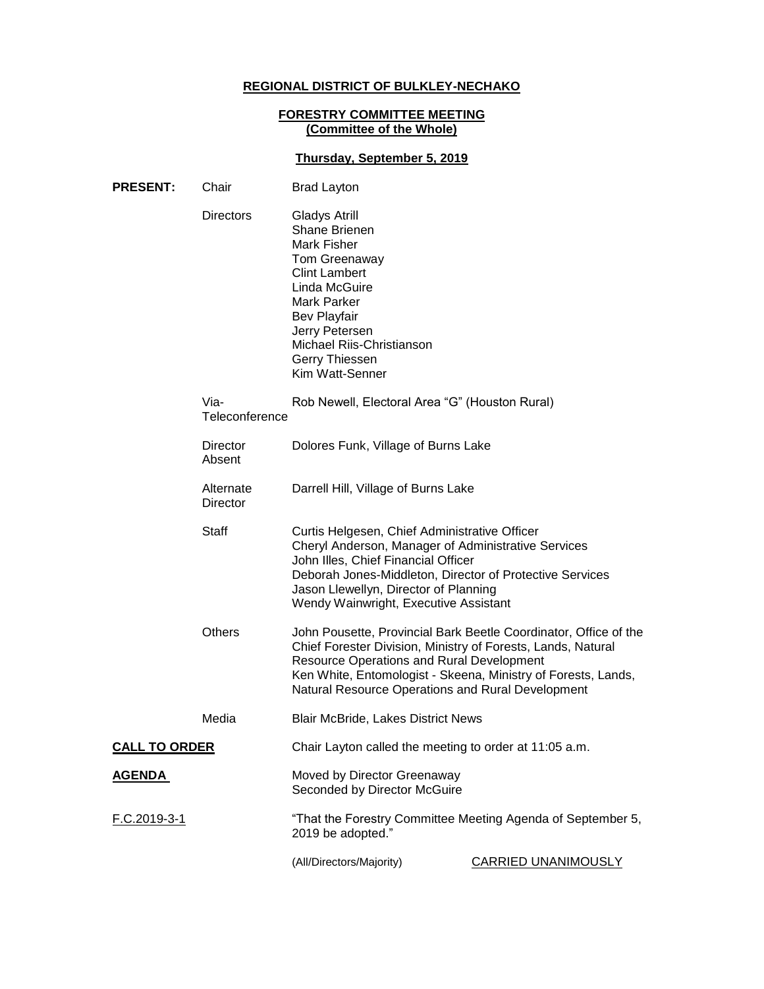# **REGIONAL DISTRICT OF BULKLEY-NECHAKO**

# **FORESTRY COMMITTEE MEETING (Committee of the Whole)**

# **Thursday, September 5, 2019**

| <b>PRESENT:</b>        | Chair                 | <b>Brad Layton</b>                                                                                                                                                                                                                                                                                         |                            |
|------------------------|-----------------------|------------------------------------------------------------------------------------------------------------------------------------------------------------------------------------------------------------------------------------------------------------------------------------------------------------|----------------------------|
|                        | <b>Directors</b>      | <b>Gladys Atrill</b><br><b>Shane Brienen</b><br><b>Mark Fisher</b><br>Tom Greenaway<br><b>Clint Lambert</b><br>Linda McGuire<br>Mark Parker<br><b>Bev Playfair</b><br>Jerry Petersen<br>Michael Riis-Christianson<br>Gerry Thiessen<br>Kim Watt-Senner                                                     |                            |
| Via-<br>Teleconference |                       | Rob Newell, Electoral Area "G" (Houston Rural)                                                                                                                                                                                                                                                             |                            |
|                        | Director<br>Absent    | Dolores Funk, Village of Burns Lake                                                                                                                                                                                                                                                                        |                            |
|                        | Alternate<br>Director | Darrell Hill, Village of Burns Lake                                                                                                                                                                                                                                                                        |                            |
|                        | <b>Staff</b>          | Curtis Helgesen, Chief Administrative Officer<br>Cheryl Anderson, Manager of Administrative Services<br>John Illes, Chief Financial Officer<br>Deborah Jones-Middleton, Director of Protective Services<br>Jason Llewellyn, Director of Planning<br>Wendy Wainwright, Executive Assistant                  |                            |
|                        | <b>Others</b>         | John Pousette, Provincial Bark Beetle Coordinator, Office of the<br>Chief Forester Division, Ministry of Forests, Lands, Natural<br><b>Resource Operations and Rural Development</b><br>Ken White, Entomologist - Skeena, Ministry of Forests, Lands,<br>Natural Resource Operations and Rural Development |                            |
|                        | Media                 | <b>Blair McBride, Lakes District News</b>                                                                                                                                                                                                                                                                  |                            |
| <b>CALL TO ORDER</b>   |                       | Chair Layton called the meeting to order at 11:05 a.m.                                                                                                                                                                                                                                                     |                            |
| <u>AGENDA</u>          |                       | Moved by Director Greenaway<br>Seconded by Director McGuire                                                                                                                                                                                                                                                |                            |
| F.C.2019-3-1           |                       | "That the Forestry Committee Meeting Agenda of September 5,<br>2019 be adopted."                                                                                                                                                                                                                           |                            |
|                        |                       | (All/Directors/Majority)                                                                                                                                                                                                                                                                                   | <b>CARRIED UNANIMOUSLY</b> |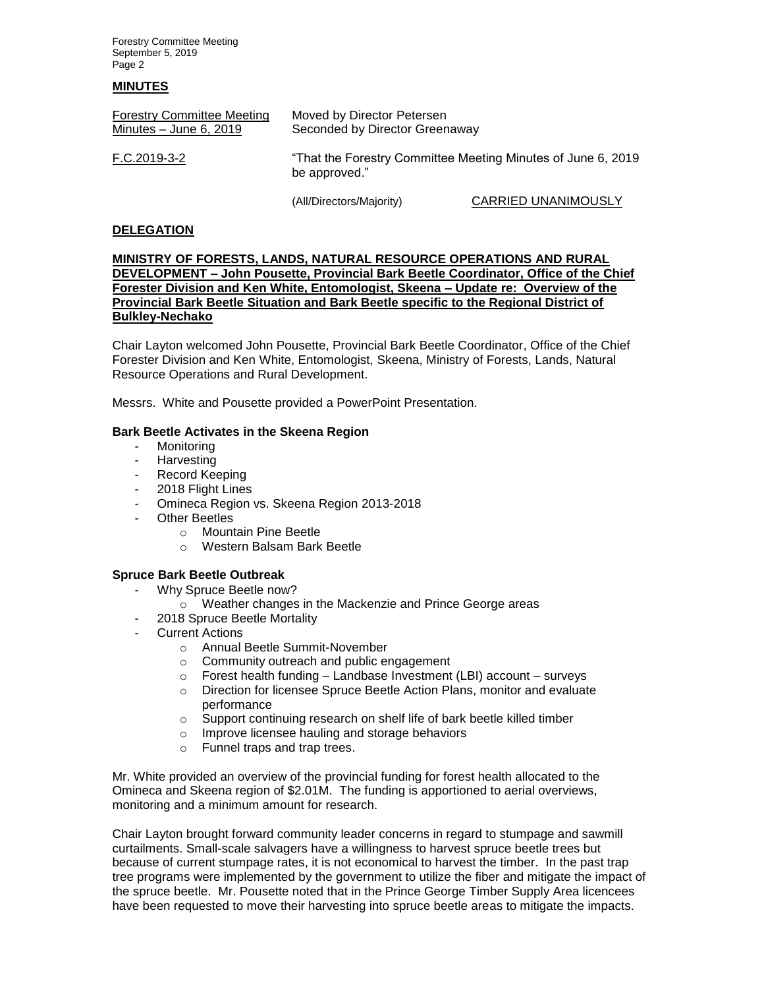Forestry Committee Meeting September 5, 2019 Page 2

### **MINUTES**

| <b>Forestry Committee Meeting</b> | Moved by Director Petersen                                                    |
|-----------------------------------|-------------------------------------------------------------------------------|
| Minutes $-$ June 6, 2019          | Seconded by Director Greenaway                                                |
| F.C.2019-3-2                      | "That the Forestry Committee Meeting Minutes of June 6, 2019<br>be approved." |

(All/Directors/Majority) CARRIED UNANIMOUSLY

### **DELEGATION**

### **MINISTRY OF FORESTS, LANDS, NATURAL RESOURCE OPERATIONS AND RURAL DEVELOPMENT – John Pousette, Provincial Bark Beetle Coordinator, Office of the Chief Forester Division and Ken White, Entomologist, Skeena – Update re: Overview of the Provincial Bark Beetle Situation and Bark Beetle specific to the Regional District of Bulkley-Nechako**

Chair Layton welcomed John Pousette, Provincial Bark Beetle Coordinator, Office of the Chief Forester Division and Ken White, Entomologist, Skeena, Ministry of Forests, Lands, Natural Resource Operations and Rural Development.

Messrs. White and Pousette provided a PowerPoint Presentation.

### **Bark Beetle Activates in the Skeena Region**

- Monitoring
- Harvesting
- Record Keeping
- 2018 Flight Lines
- Omineca Region vs. Skeena Region 2013-2018
- **Other Beetles** 
	- o Mountain Pine Beetle
	- o Western Balsam Bark Beetle

### **Spruce Bark Beetle Outbreak**

- Why Spruce Beetle now?
	- o Weather changes in the Mackenzie and Prince George areas
- 2018 Spruce Beetle Mortality
- Current Actions
	- o Annual Beetle Summit-November
	- o Community outreach and public engagement
	- $\circ$  Forest health funding Landbase Investment (LBI) account surveys
	- o Direction for licensee Spruce Beetle Action Plans, monitor and evaluate performance
	- o Support continuing research on shelf life of bark beetle killed timber
	- o Improve licensee hauling and storage behaviors
	- o Funnel traps and trap trees.

Mr. White provided an overview of the provincial funding for forest health allocated to the Omineca and Skeena region of \$2.01M. The funding is apportioned to aerial overviews, monitoring and a minimum amount for research.

Chair Layton brought forward community leader concerns in regard to stumpage and sawmill curtailments. Small-scale salvagers have a willingness to harvest spruce beetle trees but because of current stumpage rates, it is not economical to harvest the timber. In the past trap tree programs were implemented by the government to utilize the fiber and mitigate the impact of the spruce beetle. Mr. Pousette noted that in the Prince George Timber Supply Area licencees have been requested to move their harvesting into spruce beetle areas to mitigate the impacts.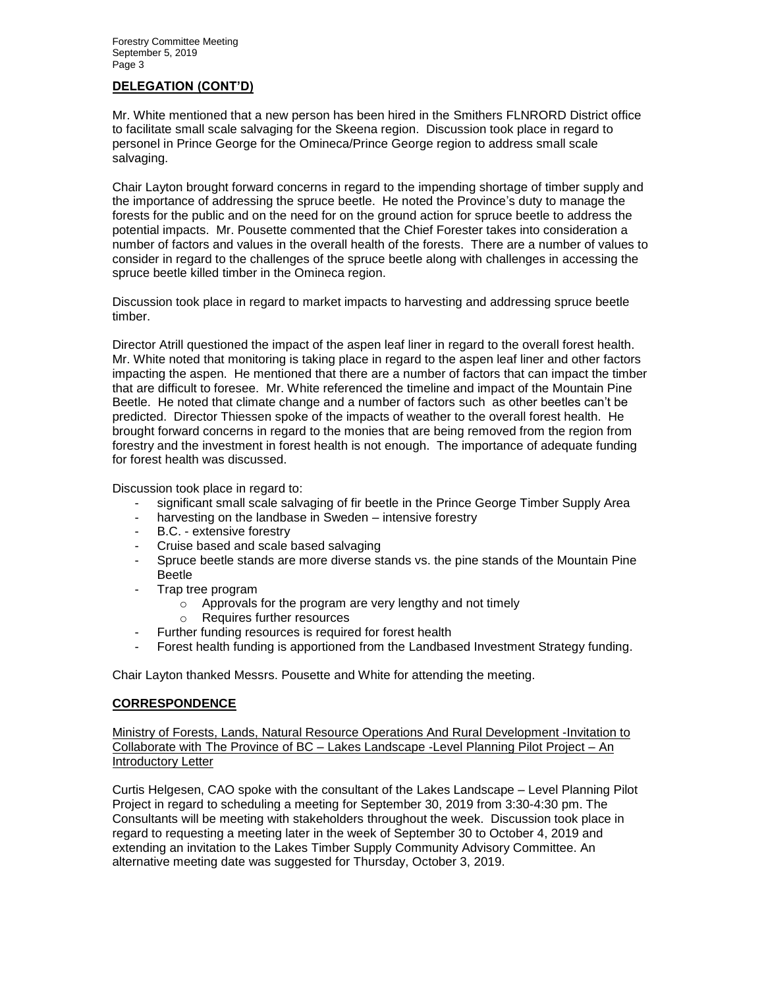# **DELEGATION (CONT'D)**

Mr. White mentioned that a new person has been hired in the Smithers FLNRORD District office to facilitate small scale salvaging for the Skeena region. Discussion took place in regard to personel in Prince George for the Omineca/Prince George region to address small scale salvaging.

Chair Layton brought forward concerns in regard to the impending shortage of timber supply and the importance of addressing the spruce beetle. He noted the Province's duty to manage the forests for the public and on the need for on the ground action for spruce beetle to address the potential impacts. Mr. Pousette commented that the Chief Forester takes into consideration a number of factors and values in the overall health of the forests. There are a number of values to consider in regard to the challenges of the spruce beetle along with challenges in accessing the spruce beetle killed timber in the Omineca region.

Discussion took place in regard to market impacts to harvesting and addressing spruce beetle timber.

Director Atrill questioned the impact of the aspen leaf liner in regard to the overall forest health. Mr. White noted that monitoring is taking place in regard to the aspen leaf liner and other factors impacting the aspen. He mentioned that there are a number of factors that can impact the timber that are difficult to foresee. Mr. White referenced the timeline and impact of the Mountain Pine Beetle. He noted that climate change and a number of factors such as other beetles can't be predicted. Director Thiessen spoke of the impacts of weather to the overall forest health. He brought forward concerns in regard to the monies that are being removed from the region from forestry and the investment in forest health is not enough. The importance of adequate funding for forest health was discussed.

Discussion took place in regard to:

- significant small scale salvaging of fir beetle in the Prince George Timber Supply Area
- harvesting on the landbase in Sweden intensive forestry
- B.C. extensive forestry
- Cruise based and scale based salvaging
- Spruce beetle stands are more diverse stands vs. the pine stands of the Mountain Pine Beetle
- Trap tree program
	- $\circ$  Approvals for the program are very lengthy and not timely
	- o Requires further resources
- Further funding resources is required for forest health
- Forest health funding is apportioned from the Landbased Investment Strategy funding.

Chair Layton thanked Messrs. Pousette and White for attending the meeting.

### **CORRESPONDENCE**

Ministry of Forests, Lands, Natural Resource Operations And Rural Development -Invitation to Collaborate with The Province of BC – Lakes Landscape -Level Planning Pilot Project – An Introductory Letter

Curtis Helgesen, CAO spoke with the consultant of the Lakes Landscape – Level Planning Pilot Project in regard to scheduling a meeting for September 30, 2019 from 3:30-4:30 pm. The Consultants will be meeting with stakeholders throughout the week. Discussion took place in regard to requesting a meeting later in the week of September 30 to October 4, 2019 and extending an invitation to the Lakes Timber Supply Community Advisory Committee. An alternative meeting date was suggested for Thursday, October 3, 2019.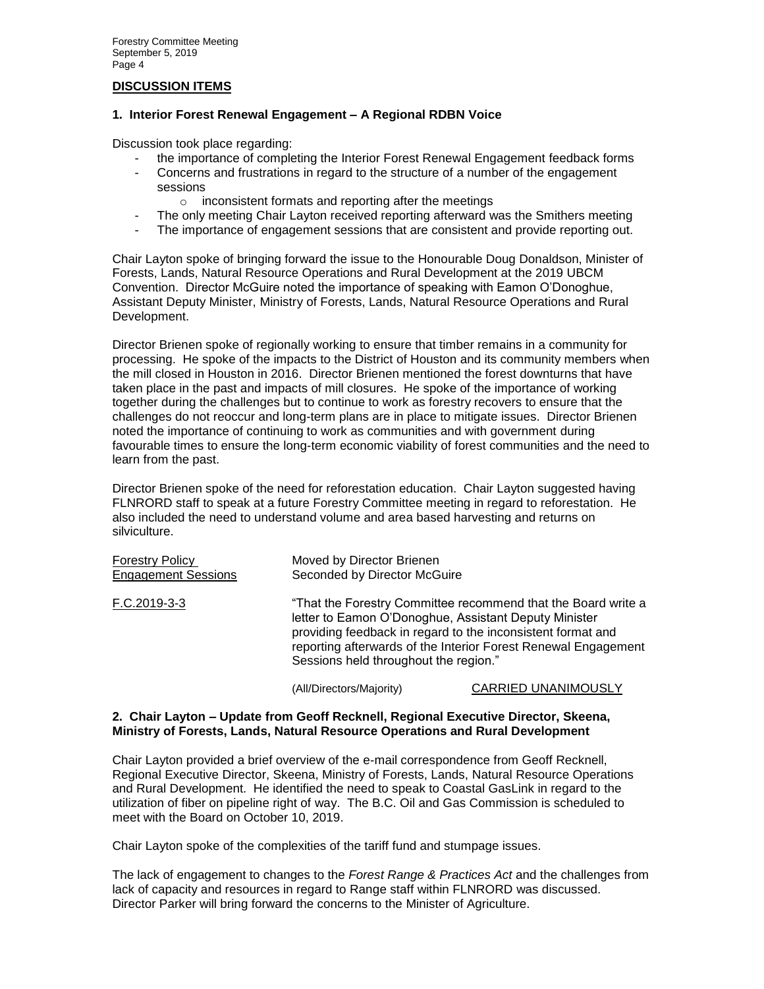Forestry Committee Meeting September 5, 2019 Page 4

### **DISCUSSION ITEMS**

#### **1. Interior Forest Renewal Engagement – A Regional RDBN Voice**

Discussion took place regarding:

- the importance of completing the Interior Forest Renewal Engagement feedback forms
- Concerns and frustrations in regard to the structure of a number of the engagement sessions
	- o inconsistent formats and reporting after the meetings
- The only meeting Chair Layton received reporting afterward was the Smithers meeting
- The importance of engagement sessions that are consistent and provide reporting out.

Chair Layton spoke of bringing forward the issue to the Honourable Doug Donaldson, Minister of Forests, Lands, Natural Resource Operations and Rural Development at the 2019 UBCM Convention. Director McGuire noted the importance of speaking with Eamon O'Donoghue, Assistant Deputy Minister, Ministry of Forests, Lands, Natural Resource Operations and Rural Development.

Director Brienen spoke of regionally working to ensure that timber remains in a community for processing. He spoke of the impacts to the District of Houston and its community members when the mill closed in Houston in 2016. Director Brienen mentioned the forest downturns that have taken place in the past and impacts of mill closures. He spoke of the importance of working together during the challenges but to continue to work as forestry recovers to ensure that the challenges do not reoccur and long-term plans are in place to mitigate issues. Director Brienen noted the importance of continuing to work as communities and with government during favourable times to ensure the long-term economic viability of forest communities and the need to learn from the past.

Director Brienen spoke of the need for reforestation education. Chair Layton suggested having FLNRORD staff to speak at a future Forestry Committee meeting in regard to reforestation. He also included the need to understand volume and area based harvesting and returns on silviculture.

| <b>Forestry Policy</b><br><b>Engagement Sessions</b> | Moved by Director Brienen<br>Seconded by Director McGuire |                                                                                                                                                                                                                                                                                                  |  |
|------------------------------------------------------|-----------------------------------------------------------|--------------------------------------------------------------------------------------------------------------------------------------------------------------------------------------------------------------------------------------------------------------------------------------------------|--|
| F.C.2019-3-3                                         |                                                           | "That the Forestry Committee recommend that the Board write a<br>letter to Eamon O'Donoghue, Assistant Deputy Minister<br>providing feedback in regard to the inconsistent format and<br>reporting afterwards of the Interior Forest Renewal Engagement<br>Sessions held throughout the region." |  |
|                                                      | (All/Directors/Maiority)                                  | <b>CARRIED UNANIMOUSLY</b>                                                                                                                                                                                                                                                                       |  |

### **2. Chair Layton – Update from Geoff Recknell, Regional Executive Director, Skeena, Ministry of Forests, Lands, Natural Resource Operations and Rural Development**

Chair Layton provided a brief overview of the e-mail correspondence from Geoff Recknell, Regional Executive Director, Skeena, Ministry of Forests, Lands, Natural Resource Operations and Rural Development. He identified the need to speak to Coastal GasLink in regard to the utilization of fiber on pipeline right of way. The B.C. Oil and Gas Commission is scheduled to meet with the Board on October 10, 2019.

Chair Layton spoke of the complexities of the tariff fund and stumpage issues.

The lack of engagement to changes to the *Forest Range & Practices Act* and the challenges from lack of capacity and resources in regard to Range staff within FLNRORD was discussed. Director Parker will bring forward the concerns to the Minister of Agriculture.